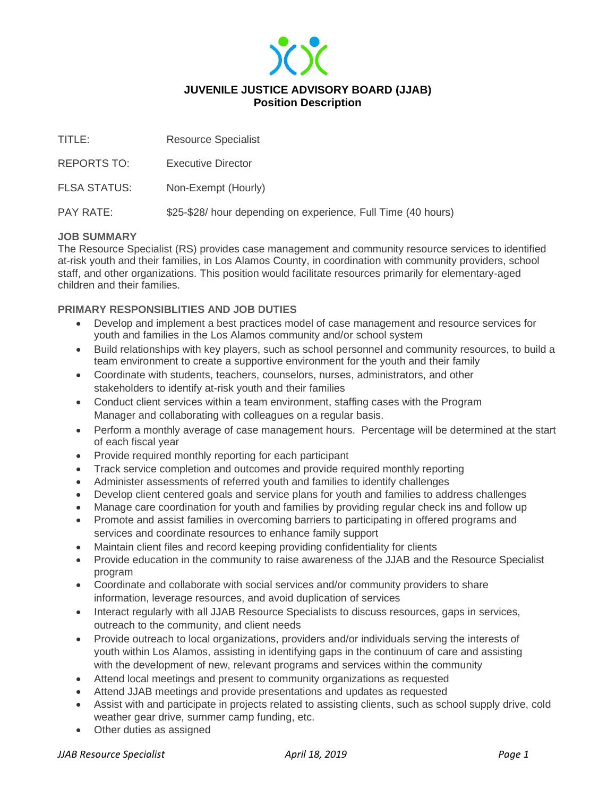

| TITLE:              | <b>Resource Specialist</b>                                    |
|---------------------|---------------------------------------------------------------|
| <b>REPORTS TO:</b>  | Executive Director                                            |
| <b>FLSA STATUS:</b> | Non-Exempt (Hourly)                                           |
| <b>PAY RATE:</b>    | \$25-\$28/ hour depending on experience, Full Time (40 hours) |

## **JOB SUMMARY**

The Resource Specialist (RS) provides case management and community resource services to identified at-risk youth and their families, in Los Alamos County, in coordination with community providers, school staff, and other organizations. This position would facilitate resources primarily for elementary-aged children and their families.

# **PRIMARY RESPONSIBLITIES AND JOB DUTIES**

- Develop and implement a best practices model of case management and resource services for youth and families in the Los Alamos community and/or school system
- Build relationships with key players, such as school personnel and community resources, to build a team environment to create a supportive environment for the youth and their family
- Coordinate with students, teachers, counselors, nurses, administrators, and other stakeholders to identify at-risk youth and their families
- Conduct client services within a team environment, staffing cases with the Program Manager and collaborating with colleagues on a regular basis.
- Perform a monthly average of case management hours. Percentage will be determined at the start of each fiscal year
- Provide required monthly reporting for each participant
- Track service completion and outcomes and provide required monthly reporting
- Administer assessments of referred youth and families to identify challenges
- Develop client centered goals and service plans for youth and families to address challenges
- Manage care coordination for youth and families by providing regular check ins and follow up
- Promote and assist families in overcoming barriers to participating in offered programs and services and coordinate resources to enhance family support
- Maintain client files and record keeping providing confidentiality for clients
- Provide education in the community to raise awareness of the JJAB and the Resource Specialist program
- Coordinate and collaborate with social services and/or community providers to share information, leverage resources, and avoid duplication of services
- Interact regularly with all JJAB Resource Specialists to discuss resources, gaps in services, outreach to the community, and client needs
- Provide outreach to local organizations, providers and/or individuals serving the interests of youth within Los Alamos, assisting in identifying gaps in the continuum of care and assisting with the development of new, relevant programs and services within the community
- Attend local meetings and present to community organizations as requested
- Attend JJAB meetings and provide presentations and updates as requested
- Assist with and participate in projects related to assisting clients, such as school supply drive, cold weather gear drive, summer camp funding, etc.
- Other duties as assigned